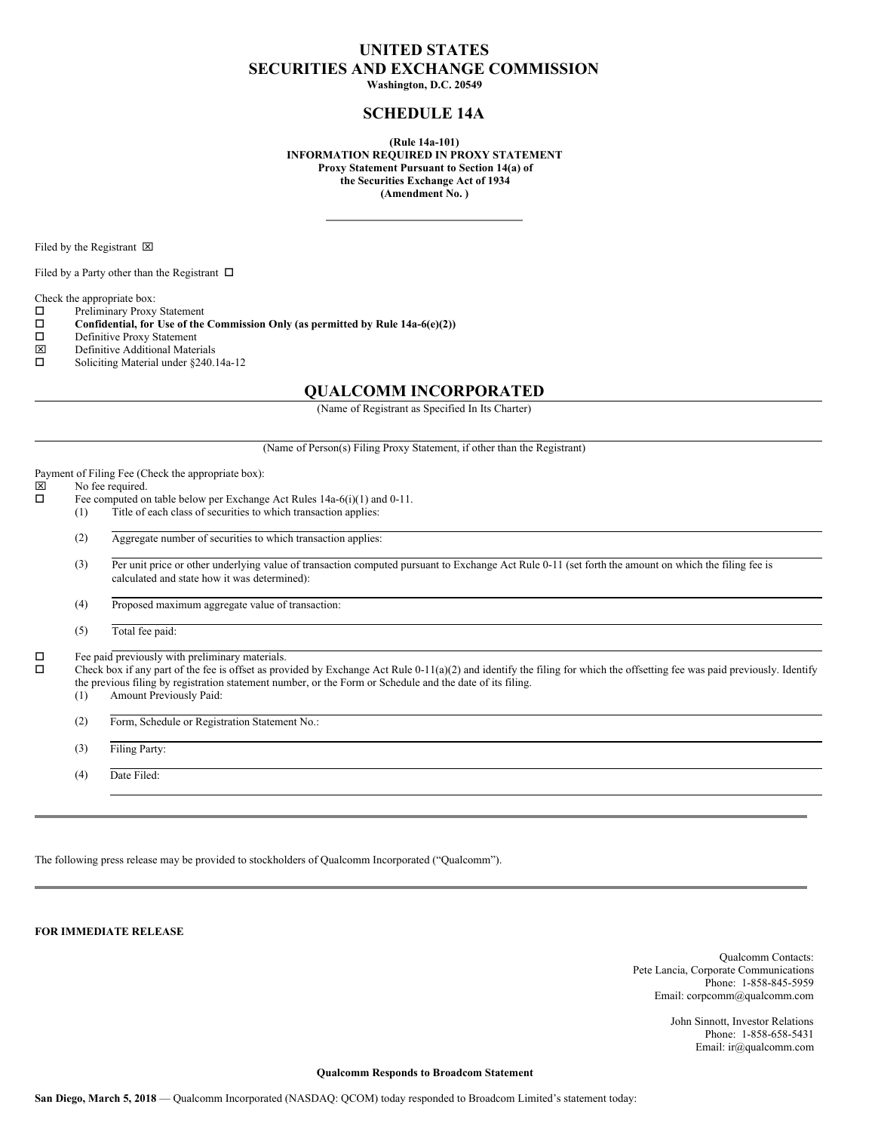## **UNITED STATES SECURITIES AND EXCHANGE COMMISSION**

**Washington, D.C. 20549**

## **SCHEDULE 14A**

**(Rule 14a-101) INFORMATION REQUIRED IN PROXY STATEMENT Proxy Statement Pursuant to Section 14(a) of the Securities Exchange Act of 1934 (Amendment No. )**

Filed by the Registrant  $\boxtimes$ 

Filed by a Party other than the Registrant  $\Box$ 

Check the appropriate box:

 $\square$  Preliminary Proxy Statement<br> $\square$  Confidential, for Use of the

**Confidential, for** Use of the Commission Only (as permitted by Rule  $14a-6(e)(2)$ )<br>Definitive Proxy Statement

- $\square$  Definitive Proxy Statement<br> $\square$  Definitive Additional Mater
- $\boxtimes$  Definitive Additional Materials<br> $\square$  Soliciting Material under \$240.
- Soliciting Material under §240.14a-12

### **QUALCOMM INCORPORATED**

(Name of Registrant as Specified In Its Charter)

| (Name of Person(s) Filing Proxy Statement, if other than the Registrant) |  |
|--------------------------------------------------------------------------|--|
|--------------------------------------------------------------------------|--|

Payment of Filing Fee (Check the appropriate box):<br> $\boxtimes$  No fee required.

# $\boxtimes$  No fee required.<br> $\Box$  Fee computed on

- Fee computed on table below per Exchange Act Rules 14a-6(i)(1) and 0-11. (1) Title of each class of securities to which transaction applies:
	- (2) Aggregate number of securities to which transaction applies:

(3) Per unit price or other underlying value of transaction computed pursuant to Exchange Act Rule 0-11 (set forth the amount on which the filing fee is calculated and state how it was determined):

(4) Proposed maximum aggregate value of transaction:

(5) Total fee paid:

 $\square$  Fee paid previously with preliminary materials.<br> $\square$  Check box if any part of the fee is offset as prov

Check box if any part of the fee is offset as provided by Exchange Act Rule 0-11(a)(2) and identify the filing for which the offsetting fee was paid previously. Identify the previous filing by registration statement number, or the Form or Schedule and the date of its filing.

(1) Amount Previously Paid:

(2) Form, Schedule or Registration Statement No.:

(3) Filing Party:

(4) Date Filed:

The following press release may be provided to stockholders of Qualcomm Incorporated ("Qualcomm").

**FOR IMMEDIATE RELEASE**

Qualcomm Contacts: Pete Lancia, Corporate Communications Phone: 1-858-845-5959 Email: corpcomm@qualcomm.com

> John Sinnott, Investor Relations Phone: 1-858-658-5431 Email: ir@qualcomm.com

**Qualcomm Responds to Broadcom Statement**